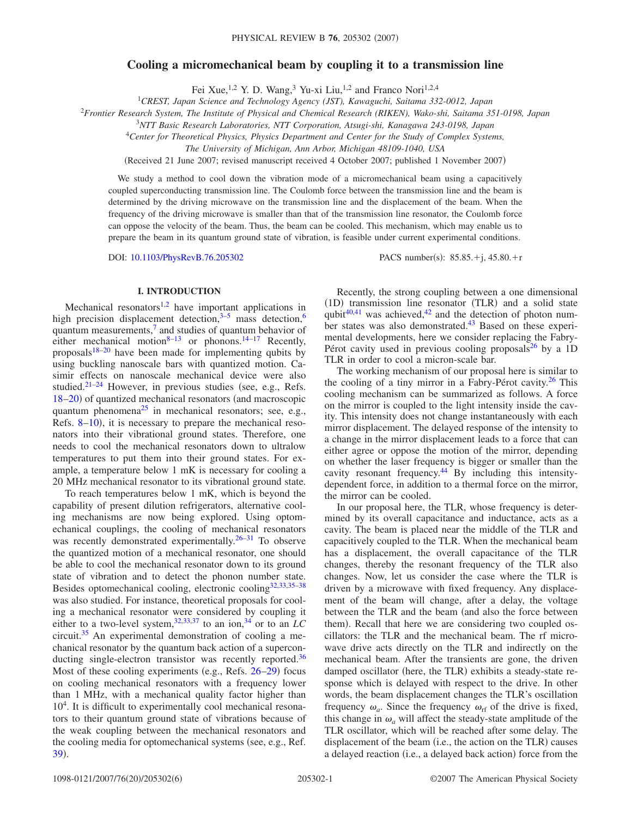# **Cooling a micromechanical beam by coupling it to a transmission line**

Fei Xue,<sup>1,2</sup> Y. D. Wang,<sup>3</sup> Yu-xi Liu,<sup>1,2</sup> and Franco Nori<sup>1,2,4</sup>

1 *CREST, Japan Science and Technology Agency (JST), Kawaguchi, Saitama 332-0012, Japan*

<sup>2</sup>*Frontier Research System, The Institute of Physical and Chemical Research (RIKEN), Wako-shi, Saitama 351-0198, Japan*

3 *NTT Basic Research Laboratories, NTT Corporation, Atsugi-shi, Kanagawa 243-0198, Japan*

<sup>4</sup>*Center for Theoretical Physics, Physics Department and Center for the Study of Complex Systems,*

*The University of Michigan, Ann Arbor, Michigan 48109-1040, USA*

(Received 21 June 2007; revised manuscript received 4 October 2007; published 1 November 2007)

We study a method to cool down the vibration mode of a micromechanical beam using a capacitively coupled superconducting transmission line. The Coulomb force between the transmission line and the beam is determined by the driving microwave on the transmission line and the displacement of the beam. When the frequency of the driving microwave is smaller than that of the transmission line resonator, the Coulomb force can oppose the velocity of the beam. Thus, the beam can be cooled. This mechanism, which may enable us to prepare the beam in its quantum ground state of vibration, is feasible under current experimental conditions.

DOI: [10.1103/PhysRevB.76.205302](http://dx.doi.org/10.1103/PhysRevB.76.205302)

PACS number(s):  $85.85.+i, 45.80.+r$ 

### **I. INTRODUCTION**

Mechanical resonators<sup>1,[2](#page-5-1)</sup> have important applications in high precision displacement detection, $3-5$  mass detection,<sup>6</sup> quantum measurements, $\frac{7}{1}$  and studies of quantum behavior of either mechanical motion<sup>8[–13](#page-5-7)</sup> or phonons.<sup>14[–17](#page-5-9)</sup> Recently, proposals $18-20$  have been made for implementing qubits by using buckling nanoscale bars with quantized motion. Casimir effects on nanoscale mechanical device were also studied. $21-24$  However, in previous studies (see, e.g., Refs. [18](#page-5-10)-20) of quantized mechanical resonators (and macroscopic quantum phenomena<sup>25</sup> in mechanical resonators; see, e.g., Refs. [8](#page-5-6)-10), it is necessary to prepare the mechanical resonators into their vibrational ground states. Therefore, one needs to cool the mechanical resonators down to ultralow temperatures to put them into their ground states. For example, a temperature below 1 mK is necessary for cooling a 20 MHz mechanical resonator to its vibrational ground state.

To reach temperatures below 1 mK, which is beyond the capability of present dilution refrigerators, alternative cooling mechanisms are now being explored. Using optomechanical couplings, the cooling of mechanical resonators was recently demonstrated experimentally.<sup>26-31</sup> To observe the quantized motion of a mechanical resonator, one should be able to cool the mechanical resonator down to its ground state of vibration and to detect the phonon number state. Besides optomechanical cooling, electronic cooling $32,33,35-38$  $32,33,35-38$  $32,33,35-38$  $32,33,35-38$ was also studied. For instance, theoretical proposals for cooling a mechanical resonator were considered by coupling it either to a two-level system,<sup>32[,33](#page-5-19)[,37](#page-5-22)</sup> to an ion,<sup>34</sup> or to an  $LC$ circuit.<sup>35</sup> An experimental demonstration of cooling a mechanical resonator by the quantum back action of a superconducting single-electron transistor was recently reported.<sup>36</sup> Most of these cooling experiments (e.g., Refs. [26](#page-5-16)-29) focus on cooling mechanical resonators with a frequency lower than 1 MHz, with a mechanical quality factor higher than 10<sup>4</sup>. It is difficult to experimentally cool mechanical resonators to their quantum ground state of vibrations because of the weak coupling between the mechanical resonators and the cooling media for optomechanical systems (see, e.g., Ref. [39](#page-5-26)).

Recently, the strong coupling between a one dimensional (1D) transmission line resonator (TLR) and a solid state qubit $40,41$  $40,41$  was achieved, $42$  and the detection of photon number states was also demonstrated.<sup>43</sup> Based on these experimental developments, here we consider replacing the Fabry-Pérot cavity used in previous cooling proposals<sup>26</sup> by a 1D TLR in order to cool a micron-scale bar.

The working mechanism of our proposal here is similar to the cooling of a tiny mirror in a Fabry-Pérot cavity.<sup>26</sup> This cooling mechanism can be summarized as follows. A force on the mirror is coupled to the light intensity inside the cavity. This intensity does not change instantaneously with each mirror displacement. The delayed response of the intensity to a change in the mirror displacement leads to a force that can either agree or oppose the motion of the mirror, depending on whether the laser frequency is bigger or smaller than the cavity resonant frequency.<sup>44</sup> By including this intensitydependent force, in addition to a thermal force on the mirror, the mirror can be cooled.

In our proposal here, the TLR, whose frequency is determined by its overall capacitance and inductance, acts as a cavity. The beam is placed near the middle of the TLR and capacitively coupled to the TLR. When the mechanical beam has a displacement, the overall capacitance of the TLR changes, thereby the resonant frequency of the TLR also changes. Now, let us consider the case where the TLR is driven by a microwave with fixed frequency. Any displacement of the beam will change, after a delay, the voltage between the TLR and the beam (and also the force between them). Recall that here we are considering two coupled oscillators: the TLR and the mechanical beam. The rf microwave drive acts directly on the TLR and indirectly on the mechanical beam. After the transients are gone, the driven damped oscillator (here, the TLR) exhibits a steady-state response which is delayed with respect to the drive. In other words, the beam displacement changes the TLR's oscillation frequency  $\omega_a$ . Since the frequency  $\omega_{\text{rf}}$  of the drive is fixed, this change in  $\omega_a$  will affect the steady-state amplitude of the TLR oscillator, which will be reached after some delay. The displacement of the beam (i.e., the action on the TLR) causes a delayed reaction (i.e., a delayed back action) force from the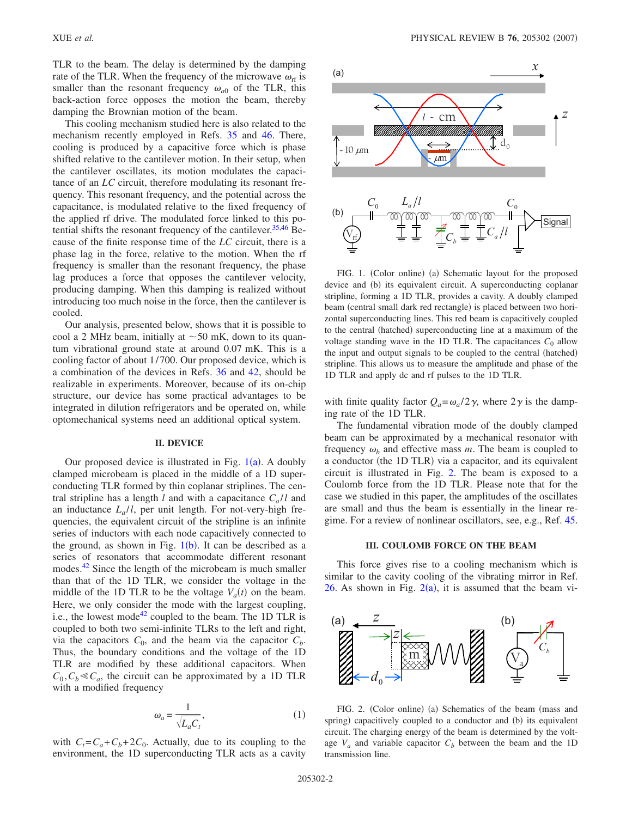TLR to the beam. The delay is determined by the damping rate of the TLR. When the frequency of the microwave  $\omega_{\text{rf}}$  is smaller than the resonant frequency  $\omega_{a0}$  of the TLR, this back-action force opposes the motion the beam, thereby damping the Brownian motion of the beam.

This cooling mechanism studied here is also related to the mechanism recently employed in Refs. [35](#page-5-20) and [46.](#page-5-32) There, cooling is produced by a capacitive force which is phase shifted relative to the cantilever motion. In their setup, when the cantilever oscillates, its motion modulates the capacitance of an *LC* circuit, therefore modulating its resonant frequency. This resonant frequency, and the potential across the capacitance, is modulated relative to the fixed frequency of the applied rf drive. The modulated force linked to this po-tential shifts the resonant frequency of the cantilever.<sup>35[,46](#page-5-32)</sup> Because of the finite response time of the *LC* circuit, there is a phase lag in the force, relative to the motion. When the rf frequency is smaller than the resonant frequency, the phase lag produces a force that opposes the cantilever velocity, producing damping. When this damping is realized without introducing too much noise in the force, then the cantilever is cooled.

Our analysis, presented below, shows that it is possible to cool a 2 MHz beam, initially at  $\sim$  50 mK, down to its quantum vibrational ground state at around 0.07 mK. This is a cooling factor of about 1/700. Our proposed device, which is a combination of the devices in Refs. [36](#page-5-24) and [42,](#page-5-29) should be realizable in experiments. Moreover, because of its on-chip structure, our device has some practical advantages to be integrated in dilution refrigerators and be operated on, while optomechanical systems need an additional optical system.

# **II. DEVICE**

Our proposed device is illustrated in Fig.  $1(a)$  $1(a)$ . A doubly clamped microbeam is placed in the middle of a 1D superconducting TLR formed by thin coplanar striplines. The central stripline has a length *l* and with a capacitance  $C_a/l$  and an inductance  $L_a/l$ , per unit length. For not-very-high frequencies, the equivalent circuit of the stripline is an infinite series of inductors with each node capacitively connected to the ground, as shown in Fig.  $1(b)$  $1(b)$ . It can be described as a series of resonators that accommodate different resonant modes.<sup>42</sup> Since the length of the microbeam is much smaller than that of the 1D TLR, we consider the voltage in the middle of the 1D TLR to be the voltage  $V_a(t)$  on the beam. Here, we only consider the mode with the largest coupling, i.e., the lowest mode<sup>42</sup> coupled to the beam. The 1D TLR is coupled to both two semi-infinite TLRs to the left and right, via the capacitors  $C_0$ , and the beam via the capacitor  $C_b$ . Thus, the boundary conditions and the voltage of the 1D TLR are modified by these additional capacitors. When  $C_0, C_b \ll C_a$ , the circuit can be approximated by a 1D TLR with a modified frequency

$$
\omega_a = \frac{1}{\sqrt{L_a C_t}},\tag{1}
$$

with  $C_t = C_a + C_b + 2C_0$ . Actually, due to its coupling to the environment, the 1D superconducting TLR acts as a cavity

<span id="page-1-0"></span>

FIG. 1. (Color online) (a) Schematic layout for the proposed device and (b) its equivalent circuit. A superconducting coplanar stripline, forming a 1D TLR, provides a cavity. A doubly clamped beam (central small dark red rectangle) is placed between two horizontal superconducting lines. This red beam is capacitively coupled to the central (hatched) superconducting line at a maximum of the voltage standing wave in the 1D TLR. The capacitances  $C_0$  allow the input and output signals to be coupled to the central (hatched) stripline. This allows us to measure the amplitude and phase of the 1D TLR and apply dc and rf pulses to the 1D TLR.

with finite quality factor  $Q_a = \omega_a/2\gamma$ , where  $2\gamma$  is the damping rate of the 1D TLR.

The fundamental vibration mode of the doubly clamped beam can be approximated by a mechanical resonator with frequency  $\omega_b$  and effective mass  $m$ . The beam is coupled to a conductor (the 1D TLR) via a capacitor, and its equivalent circuit is illustrated in Fig. [2.](#page-1-1) The beam is exposed to a Coulomb force from the 1D TLR. Please note that for the case we studied in this paper, the amplitudes of the oscillates are small and thus the beam is essentially in the linear regime. For a review of nonlinear oscillators, see, e.g., Ref. [45.](#page-5-33)

### **III. COULOMB FORCE ON THE BEAM**

This force gives rise to a cooling mechanism which is similar to the cavity cooling of the vibrating mirror in Ref. [26.](#page-5-16) As shown in Fig.  $2(a)$  $2(a)$ , it is assumed that the beam vi-

<span id="page-1-1"></span>

FIG. 2. (Color online) (a) Schematics of the beam (mass and spring) capacitively coupled to a conductor and (b) its equivalent circuit. The charging energy of the beam is determined by the voltage  $V_a$  and variable capacitor  $C_b$  between the beam and the 1D transmission line.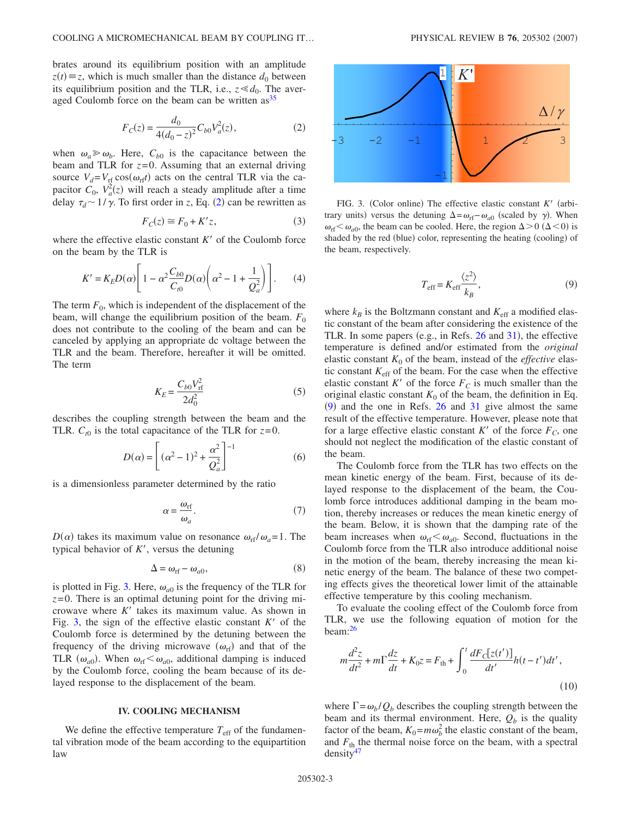brates around its equilibrium position with an amplitude  $z(t) \equiv z$ , which is much smaller than the distance  $d_0$  between its equilibrium position and the TLR, i.e.,  $z \ll d_0$ . The averaged Coulomb force on the beam can be written  $\text{as}^{35}$ 

$$
F_C(z) = \frac{d_0}{4(d_0 - z)^2} C_{b0} V_a^2(z),\tag{2}
$$

<span id="page-2-0"></span>when  $\omega_a \ge \omega_b$ . Here,  $C_{b0}$  is the capacitance between the beam and TLR for *z*=0. Assuming that an external driving source  $V_d = V_{rf} \cos(\omega_{rf}t)$  acts on the central TLR via the capacitor  $C_0$ ,  $V_a^2(z)$  will reach a steady amplitude after a time delay  $\tau_d \sim 1/\gamma$ . To first order in *z*, Eq. ([2](#page-2-0)) can be rewritten as

$$
F_C(z) \cong F_0 + K'z,\tag{3}
$$

where the effective elastic constant  $K'$  of the Coulomb force on the beam by the TLR is

$$
K' = K_E D(\alpha) \left[ 1 - \alpha^2 \frac{C_{b0}}{C_{t0}} D(\alpha) \left( \alpha^2 - 1 + \frac{1}{Q_a^2} \right) \right].
$$
 (4)

The term  $F_0$ , which is independent of the displacement of the beam, will change the equilibrium position of the beam.  $F_0$ does not contribute to the cooling of the beam and can be canceled by applying an appropriate dc voltage between the TLR and the beam. Therefore, hereafter it will be omitted. The term

$$
K_E = \frac{C_{b0} V_{\text{rf}}^2}{2d_0^2} \tag{5}
$$

describes the coupling strength between the beam and the TLR.  $C_{t0}$  is the total capacitance of the TLR for  $z=0$ .

$$
D(\alpha) = \left[ (\alpha^2 - 1)^2 + \frac{\alpha^2}{Q_a^2} \right]^{-1}
$$
 (6)

is a dimensionless parameter determined by the ratio

$$
\alpha = \frac{\omega_{\rm rf}}{\omega_a}.\tag{7}
$$

 $D(\alpha)$  takes its maximum value on resonance  $\omega_{\text{rf}}/\omega_a = 1$ . The typical behavior of  $K'$ , versus the detuning

$$
\Delta = \omega_{\rm rf} - \omega_{a0},\tag{8}
$$

is plotted in Fig. [3.](#page-2-1) Here,  $\omega_{a0}$  is the frequency of the TLR for *z*=0. There is an optimal detuning point for the driving microwave where  $K'$  takes its maximum value. As shown in Fig. [3,](#page-2-1) the sign of the effective elastic constant  $K'$  of the Coulomb force is determined by the detuning between the frequency of the driving microwave  $(\omega_{rf})$  and that of the TLR  $(\omega_{a0})$ . When  $\omega_{rf} < \omega_{a0}$ , additional damping is induced by the Coulomb force, cooling the beam because of its delayed response to the displacement of the beam.

#### **IV. COOLING MECHANISM**

We define the effective temperature  $T_{\text{eff}}$  of the fundamental vibration mode of the beam according to the equipartition law

<span id="page-2-1"></span>

FIG. 3. (Color online) The effective elastic constant *K'* (arbitrary units) versus the detuning  $\Delta = \omega_{\text{rf}} - \omega_{a0}$  (scaled by  $\gamma$ ). When  $\omega_{\text{rf}} < \omega_{a0}$ , the beam can be cooled. Here, the region  $\Delta > 0$  ( $\Delta < 0$ ) is shaded by the red (blue) color, representing the heating (cooling) of the beam, respectively.

$$
T_{\rm eff} = K_{\rm eff} \frac{\langle z^2 \rangle}{k_B},\tag{9}
$$

<span id="page-2-2"></span>where  $k_B$  is the Boltzmann constant and  $K_{\text{eff}}$  a modified elastic constant of the beam after considering the existence of the TLR. In some papers (e.g., in Refs. [26](#page-5-16) and [31](#page-5-17)), the effective temperature is defined and/or estimated from the *original* elastic constant  $K_0$  of the beam, instead of the *effective* elastic constant  $K_{\text{eff}}$  of the beam. For the case when the effective elastic constant  $K'$  of the force  $F_C$  is much smaller than the original elastic constant  $K_0$  of the beam, the definition in Eq.  $(9)$  $(9)$  $(9)$  and the one in Refs. [26](#page-5-16) and [31](#page-5-17) give almost the same result of the effective temperature. However, please note that for a large effective elastic constant  $K'$  of the force  $F_C$ , one should not neglect the modification of the elastic constant of the beam.

The Coulomb force from the TLR has two effects on the mean kinetic energy of the beam. First, because of its delayed response to the displacement of the beam, the Coulomb force introduces additional damping in the beam motion, thereby increases or reduces the mean kinetic energy of the beam. Below, it is shown that the damping rate of the beam increases when  $\omega_{\text{rf}} < \omega_{a0}$ . Second, fluctuations in the Coulomb force from the TLR also introduce additional noise in the motion of the beam, thereby increasing the mean kinetic energy of the beam. The balance of these two competing effects gives the theoretical lower limit of the attainable effective temperature by this cooling mechanism.

To evaluate the cooling effect of the Coulomb force from TLR, we use the following equation of motion for the beam[:26](#page-5-16)

<span id="page-2-3"></span>
$$
m\frac{d^2z}{dt^2} + m\Gamma\frac{dz}{dt} + K_0 z = F_{\text{th}} + \int_0^t \frac{dF_c[z(t')]}{dt'}h(t - t')dt',
$$
\n(10)

where  $\Gamma = \omega_b / Q_b$  describes the coupling strength between the beam and its thermal environment. Here,  $Q_b$  is the quality factor of the beam,  $K_0 = m\omega_b^2$  the elastic constant of the beam, and  $F_{\text{th}}$  the thermal noise force on the beam, with a spectral  $density<sup>47</sup>$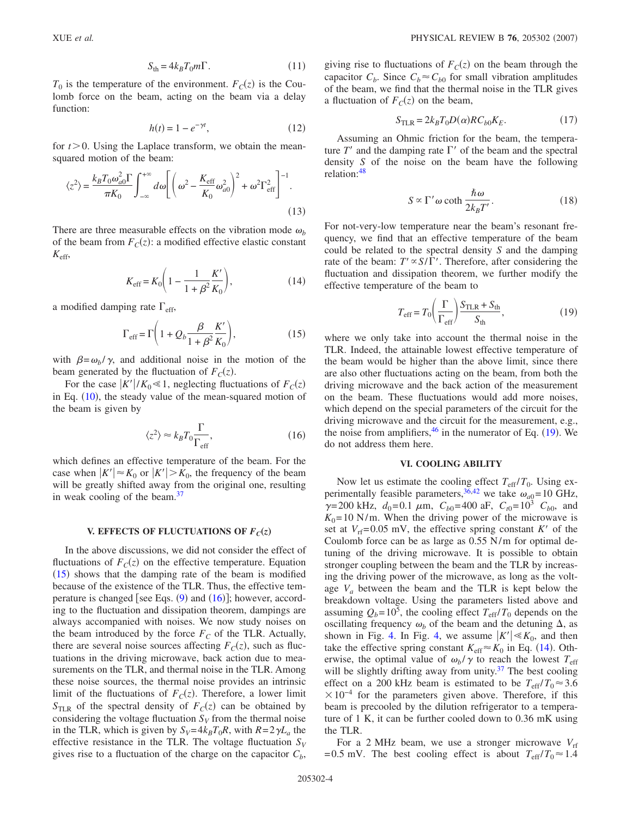$T_0$  is the temperature of the environment.  $F_C(z)$  is the Coulomb force on the beam, acting on the beam via a delay function:

$$
h(t) = 1 - e^{-\gamma t},\tag{12}
$$

for  $t > 0$ . Using the Laplace transform, we obtain the meansquared motion of the beam:

$$
\langle z^2 \rangle = \frac{k_B T_0 \omega_{a0}^2 \Gamma}{\pi K_0} \int_{-\infty}^{+\infty} d\omega \left[ \left( \omega^2 - \frac{K_{\rm eff}}{K_0} \omega_{a0}^2 \right)^2 + \omega^2 \Gamma_{\rm eff}^2 \right]^{-1} . \tag{13}
$$

There are three measurable effects on the vibration mode  $\omega_b$ of the beam from  $F_C(z)$ : a modified effective elastic constant *K*eff,

$$
K_{\rm eff} = K_0 \bigg( 1 - \frac{1}{1 + \beta^2} \frac{K'}{K_0} \bigg),\tag{14}
$$

<span id="page-3-3"></span><span id="page-3-0"></span>a modified damping rate  $\Gamma_{\rm eff}$ ,

$$
\Gamma_{\rm eff} = \Gamma \left( 1 + Q_b \frac{\beta}{1 + \beta^2} \frac{K'}{K_0} \right),\tag{15}
$$

with  $\beta = \omega_b / \gamma$ , and additional noise in the motion of the beam generated by the fluctuation of  $F_C(z)$ .

For the case  $|K'|/K_0 \le 1$ , neglecting fluctuations of  $F_C(z)$ in Eq.  $(10)$  $(10)$  $(10)$ , the steady value of the mean-squared motion of the beam is given by

$$
\langle z^2 \rangle \approx k_B T_0 \frac{\Gamma}{\Gamma_{\text{eff}}},\tag{16}
$$

<span id="page-3-1"></span>which defines an effective temperature of the beam. For the case when  $|K'| \approx K_0$  or  $|K'| > K_0$ , the frequency of the beam will be greatly shifted away from the original one, resulting in weak cooling of the beam. $37$ 

# **V. EFFECTS OF FLUCTUATIONS OF**  $F_C(z)$

In the above discussions, we did not consider the effect of fluctuations of  $F_C(z)$  on the effective temperature. Equation ([15](#page-3-0)) shows that the damping rate of the beam is modified because of the existence of the TLR. Thus, the effective temperature is changed [see Eqs.  $(9)$  $(9)$  $(9)$  and  $(16)$  $(16)$  $(16)$ ]; however, according to the fluctuation and dissipation theorem, dampings are always accompanied with noises. We now study noises on the beam introduced by the force  $F_C$  of the TLR. Actually, there are several noise sources affecting  $F_C(z)$ , such as fluctuations in the driving microwave, back action due to measurements on the TLR, and thermal noise in the TLR. Among these noise sources, the thermal noise provides an intrinsic limit of the fluctuations of  $F_C(z)$ . Therefore, a lower limit  $S_{\text{TLR}}$  of the spectral density of  $F_C(z)$  can be obtained by considering the voltage fluctuation  $S_V$  from the thermal noise in the TLR, which is given by  $S_V = 4k_B T_0 R$ , with  $R = 2\gamma L_a$  the effective resistance in the TLR. The voltage fluctuation  $S_V$ gives rise to a fluctuation of the charge on the capacitor  $C<sub>b</sub>$ ,

giving rise to fluctuations of  $F_C(z)$  on the beam through the capacitor  $C_b$ . Since  $C_b \approx C_{b0}$  for small vibration amplitudes of the beam, we find that the thermal noise in the TLR gives a fluctuation of  $F_C(z)$  on the beam,

$$
S_{\text{TLR}} = 2k_B T_0 D(\alpha) R C_{b0} K_E. \tag{17}
$$

Assuming an Ohmic friction for the beam, the temperature  $T'$  and the damping rate  $\Gamma'$  of the beam and the spectral density *S* of the noise on the beam have the following relation[:48](#page-5-35)

$$
S \propto \Gamma' \omega \coth \frac{\hbar \omega}{2k_B T'}.
$$
 (18)

For not-very-low temperature near the beam's resonant frequency, we find that an effective temperature of the beam could be related to the spectral density *S* and the damping rate of the beam:  $T' \propto S/\Gamma'$ . Therefore, after considering the fluctuation and dissipation theorem, we further modify the effective temperature of the beam to

$$
T_{\rm eff} = T_0 \left( \frac{\Gamma}{\Gamma_{\rm eff}} \right) \frac{S_{\rm TLR} + S_{\rm th}}{S_{\rm th}},\tag{19}
$$

<span id="page-3-2"></span>where we only take into account the thermal noise in the TLR. Indeed, the attainable lowest effective temperature of the beam would be higher than the above limit, since there are also other fluctuations acting on the beam, from both the driving microwave and the back action of the measurement on the beam. These fluctuations would add more noises, which depend on the special parameters of the circuit for the driving microwave and the circuit for the measurement, e.g., the noise from amplifiers,  $46$  in the numerator of Eq. ([19](#page-3-2)). We do not address them here.

### **VI. COOLING ABILITY**

Now let us estimate the cooling effect  $T_{\text{eff}}/T_0$ . Using ex-perimentally feasible parameters,<sup>36[,42](#page-5-29)</sup> we take  $\omega_{a}$  = 10 GHz,  $\gamma$ =200 kHz,  $d_0$ =0.1  $\mu$ m,  $C_{b0}$ =400 aF,  $C_{t0}$ =10<sup>3</sup>  $C_{b0}$ , and  $K_0$ =10 N/m. When the driving power of the microwave is set at  $V_{\text{rf}}$ =0.05 mV, the effective spring constant *K'* of the Coulomb force can be as large as 0.55 N/m for optimal detuning of the driving microwave. It is possible to obtain stronger coupling between the beam and the TLR by increasing the driving power of the microwave, as long as the voltage *Va* between the beam and the TLR is kept below the breakdown voltage. Using the parameters listed above and assuming  $Q_b$ =10<sup>5</sup>, the cooling effect  $T_{\text{eff}}/T_0$  depends on the oscillating frequency  $\omega_b$  of the beam and the detuning  $\Delta$ , as shown in Fig. [4.](#page-4-0) In Fig. [4,](#page-4-0) we assume  $|K'| \ll K_0$ , and then take the effective spring constant  $K_{\text{eff}} \approx K_0$  in Eq. ([14](#page-3-3)). Otherwise, the optimal value of  $\omega_b/\gamma$  to reach the lowest  $T_{\text{eff}}$ will be slightly drifting away from unity. $37$  The best cooling effect on a 200 kHz beam is estimated to be  $T_{\text{eff}}/T_0 \approx 3.6$  $\times 10^{-4}$  for the parameters given above. Therefore, if this beam is precooled by the dilution refrigerator to a temperature of 1 K, it can be further cooled down to 0.36 mK using the TLR.

For a 2 MHz beam, we use a stronger microwave  $V_{\text{rf}}$ =0.5 mV. The best cooling effect is about  $T_{\text{eff}}/T_0 \approx 1.4$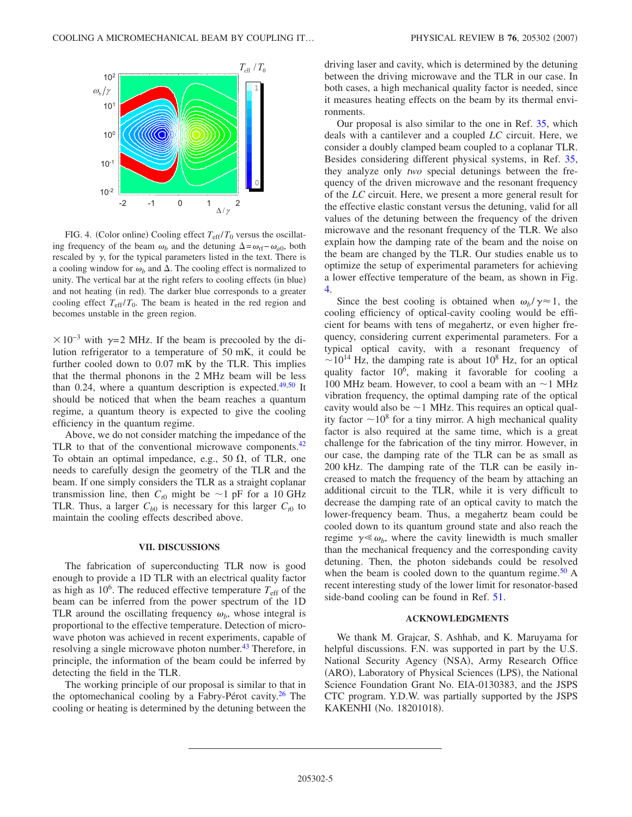<span id="page-4-0"></span>

FIG. 4. (Color online) Cooling effect  $T_{\text{eff}}/T_0$  versus the oscillating frequency of the beam  $\omega_b$  and the detuning  $\Delta = \omega_{\text{rf}} - \omega_{a0}$ , both rescaled by  $\gamma$ , for the typical parameters listed in the text. There is a cooling window for  $\omega_b$  and  $\Delta$ . The cooling effect is normalized to unity. The vertical bar at the right refers to cooling effects (in blue) and not heating (in red). The darker blue corresponds to a greater cooling effect  $T_{\text{eff}}/T_0$ . The beam is heated in the red region and becomes unstable in the green region.

 $\times 10^{-3}$  with  $\gamma$ =2 MHz. If the beam is precooled by the dilution refrigerator to a temperature of 50 mK, it could be further cooled down to 0.07 mK by the TLR. This implies that the thermal phonons in the 2 MHz beam will be less than 0.24, where a quantum description is expected.<sup>49[,50](#page-5-37)</sup> It should be noticed that when the beam reaches a quantum regime, a quantum theory is expected to give the cooling efficiency in the quantum regime.

Above, we do not consider matching the impedance of the TLR to that of the conventional microwave components. $42$ To obtain an optimal impedance, e.g., 50  $\Omega$ , of TLR, one needs to carefully design the geometry of the TLR and the beam. If one simply considers the TLR as a straight coplanar transmission line, then  $C_{t0}$  might be  $\sim$ 1 pF for a 10 GHz TLR. Thus, a larger  $C_{b0}$  is necessary for this larger  $C_{t0}$  to maintain the cooling effects described above.

#### **VII. DISCUSSIONS**

The fabrication of superconducting TLR now is good enough to provide a 1D TLR with an electrical quality factor as high as  $10^6$ . The reduced effective temperature  $T_{\text{eff}}$  of the beam can be inferred from the power spectrum of the 1D TLR around the oscillating frequency  $\omega_b$ , whose integral is proportional to the effective temperature. Detection of microwave photon was achieved in recent experiments, capable of resolving a single microwave photon number.<sup>43</sup> Therefore, in principle, the information of the beam could be inferred by detecting the field in the TLR.

The working principle of our proposal is similar to that in the optomechanical cooling by a Fabry-Pérot cavity.<sup>26</sup> The cooling or heating is determined by the detuning between the driving laser and cavity, which is determined by the detuning between the driving microwave and the TLR in our case. In both cases, a high mechanical quality factor is needed, since it measures heating effects on the beam by its thermal environments.

Our proposal is also similar to the one in Ref. [35,](#page-5-20) which deals with a cantilever and a coupled *LC* circuit. Here, we consider a doubly clamped beam coupled to a coplanar TLR. Besides considering different physical systems, in Ref. [35,](#page-5-20) they analyze only *two* special detunings between the frequency of the driven microwave and the resonant frequency of the *LC* circuit. Here, we present a more general result for the effective elastic constant versus the detuning, valid for all values of the detuning between the frequency of the driven microwave and the resonant frequency of the TLR. We also explain how the damping rate of the beam and the noise on the beam are changed by the TLR. Our studies enable us to optimize the setup of experimental parameters for achieving a lower effective temperature of the beam, as shown in Fig. [4.](#page-4-0)

Since the best cooling is obtained when  $\omega_b / \gamma \approx 1$ , the cooling efficiency of optical-cavity cooling would be efficient for beams with tens of megahertz, or even higher frequency, considering current experimental parameters. For a typical optical cavity, with a resonant frequency of  $\sim$ 10<sup>14</sup> Hz, the damping rate is about 10<sup>8</sup> Hz, for an optical quality factor 10<sup>6</sup>, making it favorable for cooling a 100 MHz beam. However, to cool a beam with an  $\sim$  1 MHz vibration frequency, the optimal damping rate of the optical cavity would also be  $\sim$  1 MHz. This requires an optical quality factor  $\sim 10^8$  for a tiny mirror. A high mechanical quality factor is also required at the same time, which is a great challenge for the fabrication of the tiny mirror. However, in our case, the damping rate of the TLR can be as small as 200 kHz. The damping rate of the TLR can be easily increased to match the frequency of the beam by attaching an additional circuit to the TLR, while it is very difficult to decrease the damping rate of an optical cavity to match the lower-frequency beam. Thus, a megahertz beam could be cooled down to its quantum ground state and also reach the regime  $\gamma \ll \omega_b$ , where the cavity linewidth is much smaller than the mechanical frequency and the corresponding cavity detuning. Then, the photon sidebands could be resolved when the beam is cooled down to the quantum regime.<sup>50</sup> A recent interesting study of the lower limit for resonator-based side-band cooling can be found in Ref. [51.](#page-5-38)

# **ACKNOWLEDGMENTS**

We thank M. Grajcar, S. Ashhab, and K. Maruyama for helpful discussions. F.N. was supported in part by the U.S. National Security Agency (NSA), Army Research Office (ARO), Laboratory of Physical Sciences (LPS), the National Science Foundation Grant No. EIA-0130383, and the JSPS CTC program. Y.D.W. was partially supported by the JSPS KAKENHI (No. 18201018).